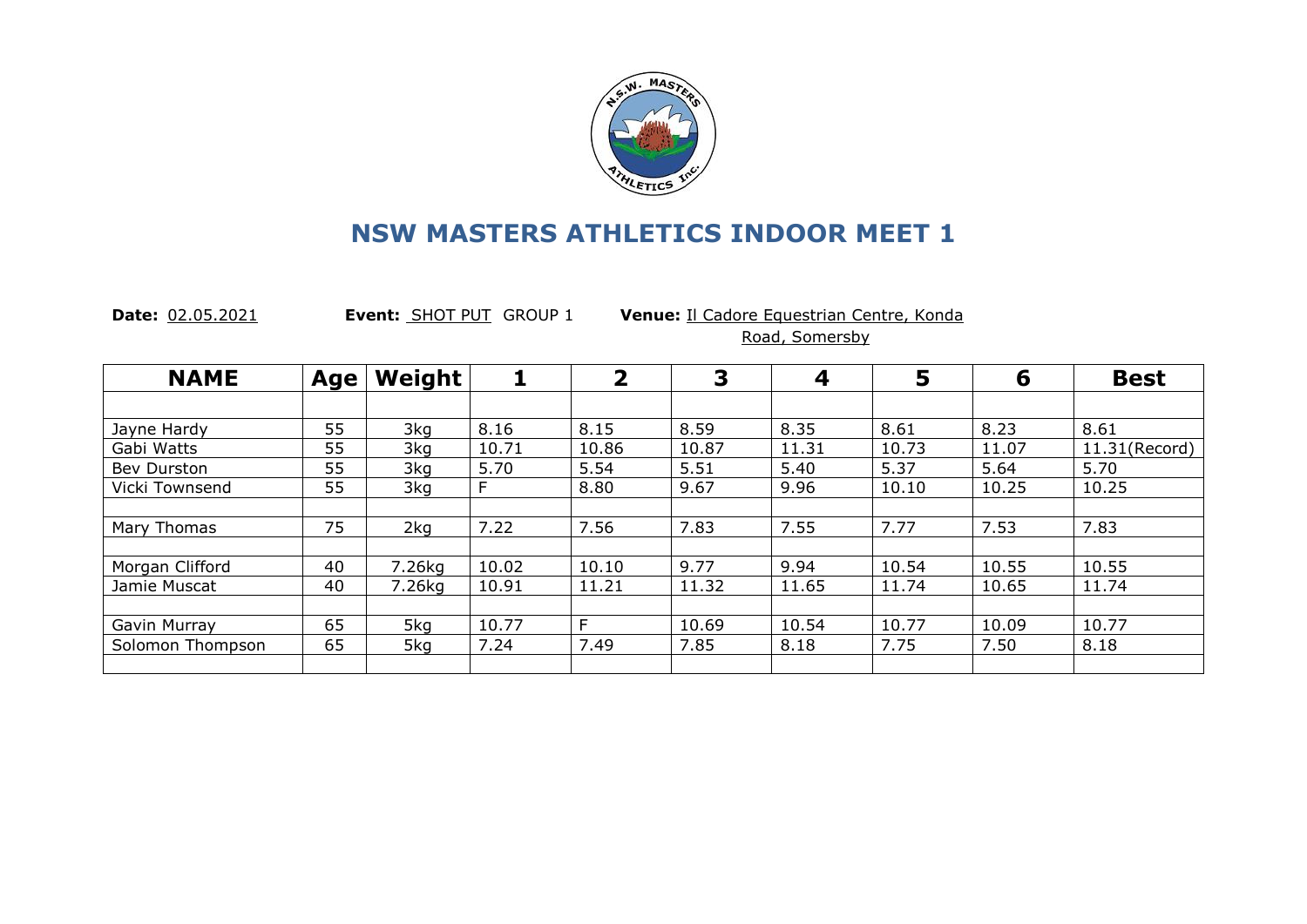

**Date:** 02.05.2021 **Event:** SHOT PUT GROUP 1 **Venue:** Il Cadore Equestrian Centre, Konda Road, Somersby

| <b>NAME</b>      | Age | Weight |       | $\overline{\mathbf{2}}$ | 3     | 4     | 5     | 6     | <b>Best</b>   |
|------------------|-----|--------|-------|-------------------------|-------|-------|-------|-------|---------------|
|                  |     |        |       |                         |       |       |       |       |               |
| Jayne Hardy      | 55  | 3kg    | 8.16  | 8.15                    | 8.59  | 8.35  | 8.61  | 8.23  | 8.61          |
| Gabi Watts       | 55  | 3kg    | 10.71 | 10.86                   | 10.87 | 11.31 | 10.73 | 11.07 | 11.31(Record) |
| Bev Durston      | 55  | 3kg    | 5.70  | 5.54                    | 5.51  | 5.40  | 5.37  | 5.64  | 5.70          |
| Vicki Townsend   | 55  | 3kg    | F.    | 8.80                    | 9.67  | 9.96  | 10.10 | 10.25 | 10.25         |
|                  |     |        |       |                         |       |       |       |       |               |
| Mary Thomas      | 75  | 2kg    | 7.22  | 7.56                    | 7.83  | 7.55  | 7.77  | 7.53  | 7.83          |
|                  |     |        |       |                         |       |       |       |       |               |
| Morgan Clifford  | 40  | 7.26kg | 10.02 | 10.10                   | 9.77  | 9.94  | 10.54 | 10.55 | 10.55         |
| Jamie Muscat     | 40  | 7.26kg | 10.91 | 11.21                   | 11.32 | 11.65 | 11.74 | 10.65 | 11.74         |
|                  |     |        |       |                         |       |       |       |       |               |
| Gavin Murray     | 65  | 5kg    | 10.77 | E                       | 10.69 | 10.54 | 10.77 | 10.09 | 10.77         |
| Solomon Thompson | 65  | 5kg    | 7.24  | 7.49                    | 7.85  | 8.18  | 7.75  | 7.50  | 8.18          |
|                  |     |        |       |                         |       |       |       |       |               |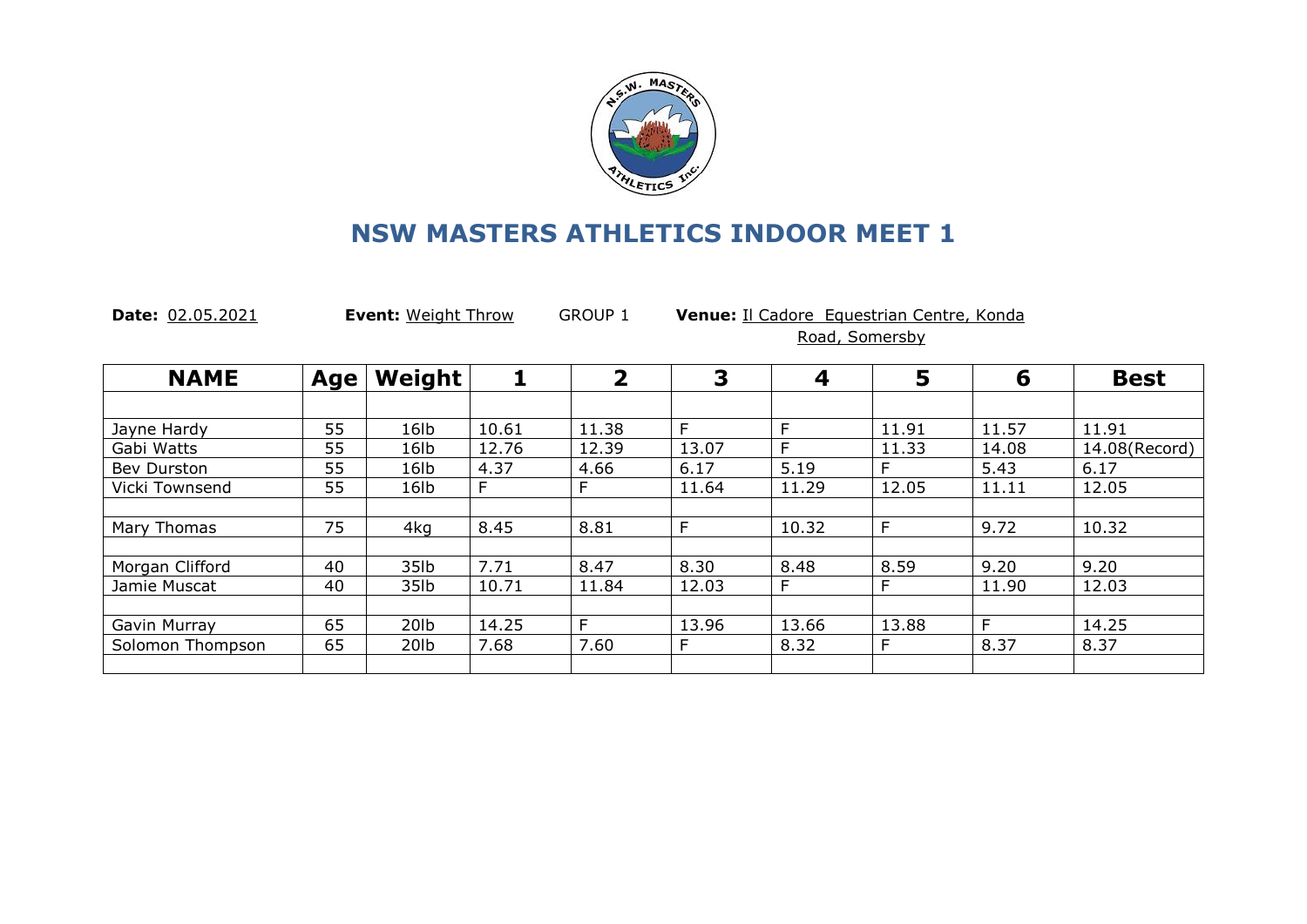

**Date:** 02.05.2021 **Event:** Weight Throw GROUP 1 **Venue:** Il Cadore Equestrian Centre, Konda Road, Somersby

| <b>NAME</b>      | Age | Weight           |       | 2     | 3     | $\boldsymbol{4}$ | 5     | 6     | <b>Best</b>   |
|------------------|-----|------------------|-------|-------|-------|------------------|-------|-------|---------------|
|                  |     |                  |       |       |       |                  |       |       |               |
| Jayne Hardy      | 55  | 16 <sub>1b</sub> | 10.61 | 11.38 | F     | F                | 11.91 | 11.57 | 11.91         |
| Gabi Watts       | 55  | 16 <sub>lb</sub> | 12.76 | 12.39 | 13.07 | F                | 11.33 | 14.08 | 14.08(Record) |
| Bev Durston      | 55  | 16 <sub>lb</sub> | 4.37  | 4.66  | 6.17  | 5.19             | F     | 5.43  | 6.17          |
| Vicki Townsend   | 55  | 16 <sub>1b</sub> | F.    | F.    | 11.64 | 11.29            | 12.05 | 11.11 | 12.05         |
|                  |     |                  |       |       |       |                  |       |       |               |
| Mary Thomas      | 75  | 4kg              | 8.45  | 8.81  | Е     | 10.32            | F     | 9.72  | 10.32         |
|                  |     |                  |       |       |       |                  |       |       |               |
| Morgan Clifford  | 40  | 35lb             | 7.71  | 8.47  | 8.30  | 8.48             | 8.59  | 9.20  | 9.20          |
| Jamie Muscat     | 40  | 35lb             | 10.71 | 11.84 | 12.03 | F                |       | 11.90 | 12.03         |
|                  |     |                  |       |       |       |                  |       |       |               |
| Gavin Murray     | 65  | 20 <sub>Ib</sub> | 14.25 | E     | 13.96 | 13.66            | 13.88 | F     | 14.25         |
| Solomon Thompson | 65  | 20 <sub>Ib</sub> | 7.68  | 7.60  | F     | 8.32             | E     | 8.37  | 8.37          |
|                  |     |                  |       |       |       |                  |       |       |               |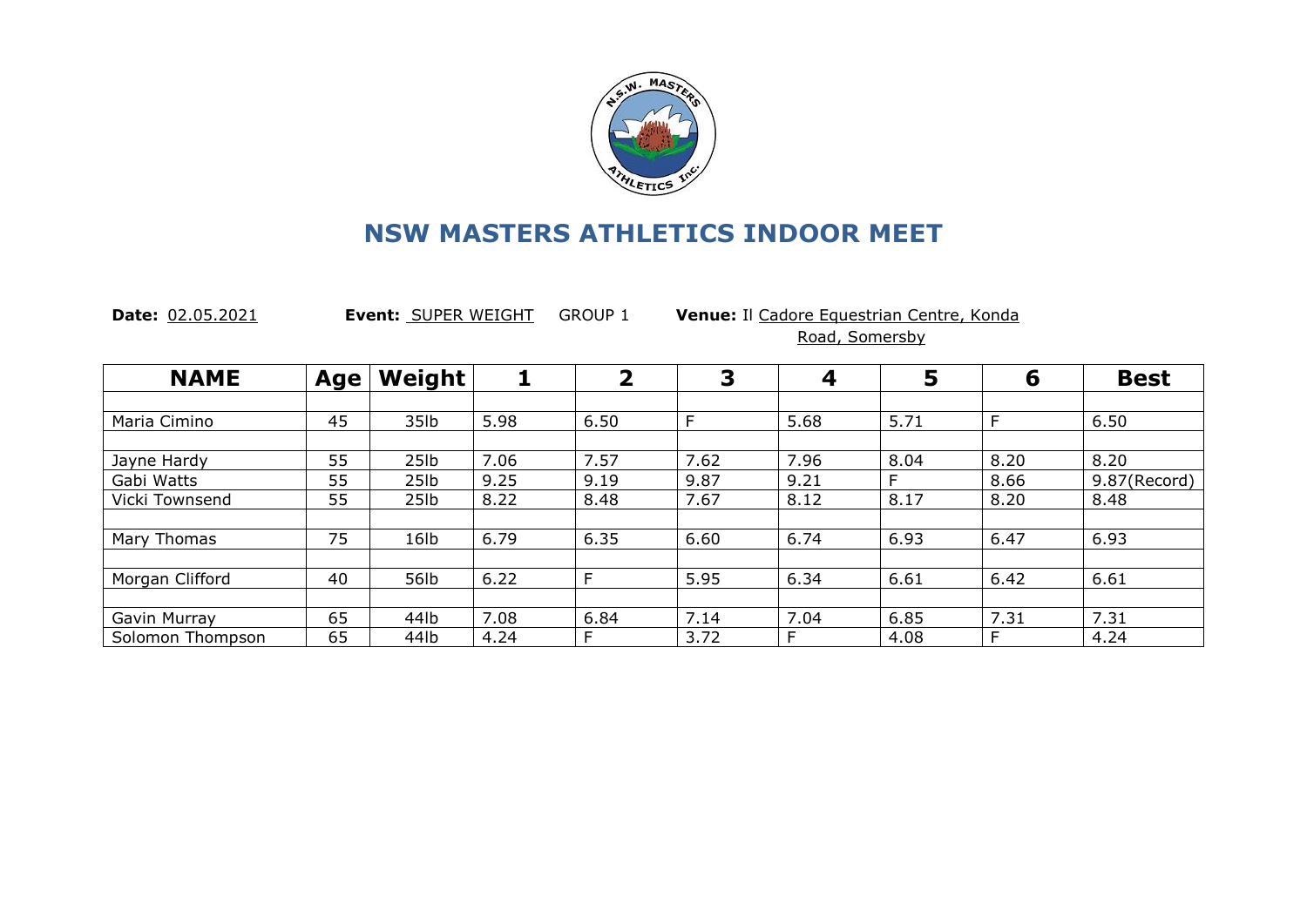

**Date:** 02.05.2021 **Event:** SUPER WEIGHT GROUP 1 **Venue:** Il Cadore Equestrian Centre, Konda Road, Somersby

| <b>NAME</b>      | Age | Weight           |      | $\overline{\mathbf{2}}$ | 3    | $\overline{\mathbf{4}}$ | 5    | 6    | <b>Best</b>  |
|------------------|-----|------------------|------|-------------------------|------|-------------------------|------|------|--------------|
|                  |     |                  |      |                         |      |                         |      |      |              |
| Maria Cimino     | 45  | 35lb             | 5.98 | 6.50                    | E    | 5.68                    | 5.71 | F    | 6.50         |
|                  |     |                  |      |                         |      |                         |      |      |              |
| Jayne Hardy      | 55  | 25 <sub>1b</sub> | 7.06 | 7.57                    | 7.62 | 7.96                    | 8.04 | 8.20 | 8.20         |
| Gabi Watts       | 55  | 25lb             | 9.25 | 9.19                    | 9.87 | 9.21                    | F    | 8.66 | 9.87(Record) |
| Vicki Townsend   | 55  | 25 <sub>1b</sub> | 8.22 | 8.48                    | 7.67 | 8.12                    | 8.17 | 8.20 | 8.48         |
|                  |     |                  |      |                         |      |                         |      |      |              |
| Mary Thomas      | 75  | 16lb             | 6.79 | 6.35                    | 6.60 | 6.74                    | 6.93 | 6.47 | 6.93         |
|                  |     |                  |      |                         |      |                         |      |      |              |
| Morgan Clifford  | 40  | 56lb             | 6.22 | F                       | 5.95 | 6.34                    | 6.61 | 6.42 | 6.61         |
|                  |     |                  |      |                         |      |                         |      |      |              |
| Gavin Murray     | 65  | 44lb             | 7.08 | 6.84                    | 7.14 | 7.04                    | 6.85 | 7.31 | 7.31         |
| Solomon Thompson | 65  | 44lb             | 4.24 | F                       | 3.72 |                         | 4.08 | F    | 4.24         |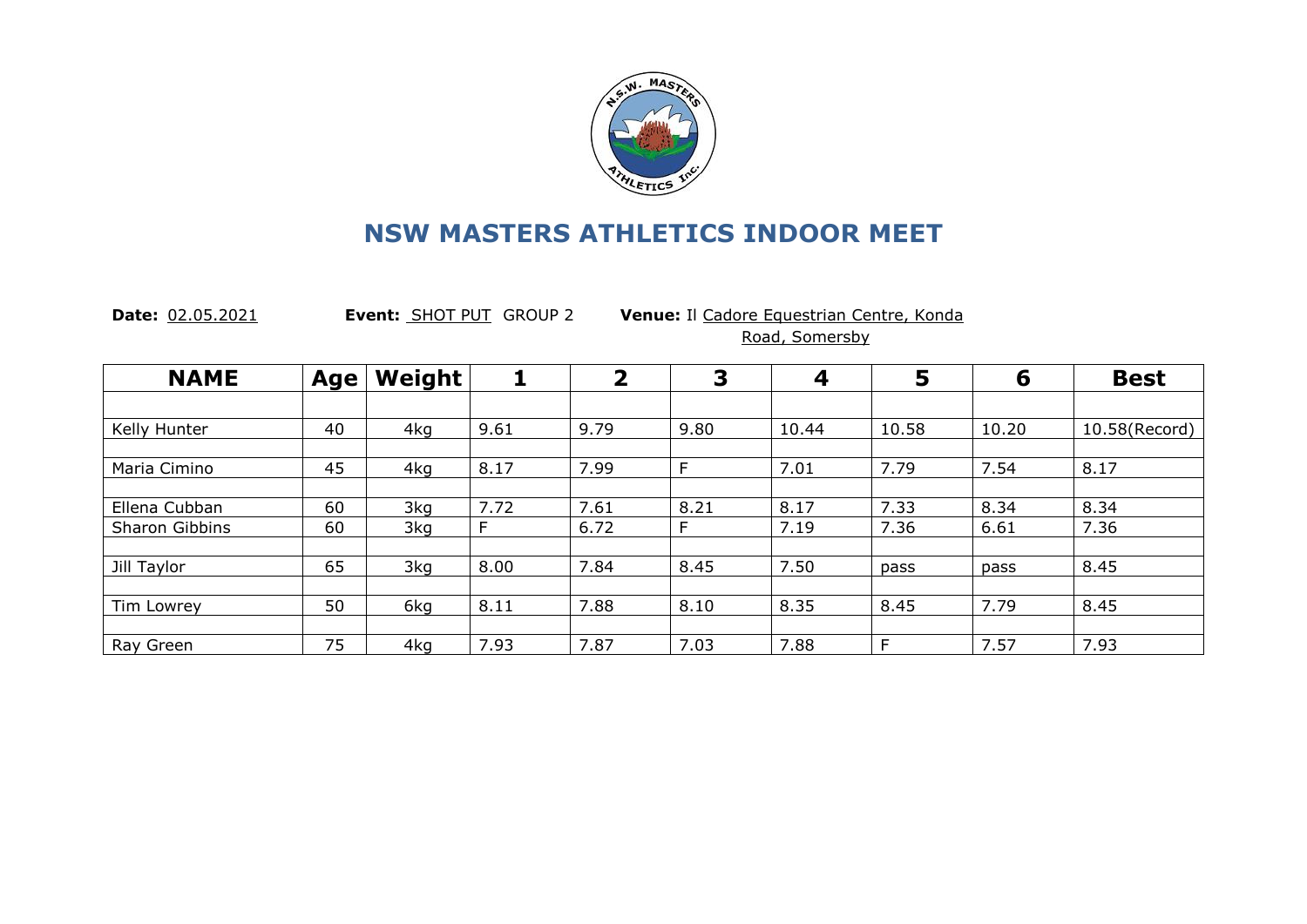

**Date:** 02.05.2021 **Event:** SHOT PUT GROUP 2 **Venue:** Il Cadore Equestrian Centre, Konda Road, Somersby

| <b>NAME</b>    | Age | Weight | 1    | $\overline{\mathbf{2}}$ | 3    | 4     | 5     | 6     | <b>Best</b>   |
|----------------|-----|--------|------|-------------------------|------|-------|-------|-------|---------------|
|                |     |        |      |                         |      |       |       |       |               |
| Kelly Hunter   | 40  | 4kg    | 9.61 | 9.79                    | 9.80 | 10.44 | 10.58 | 10.20 | 10.58(Record) |
|                |     |        |      |                         |      |       |       |       |               |
| Maria Cimino   | 45  | 4kg    | 8.17 | 7.99                    | F    | 7.01  | 7.79  | 7.54  | 8.17          |
|                |     |        |      |                         |      |       |       |       |               |
| Ellena Cubban  | 60  | 3kg    | 7.72 | 7.61                    | 8.21 | 8.17  | 7.33  | 8.34  | 8.34          |
| Sharon Gibbins | 60  | 3kg    | F    | 6.72                    | F    | 7.19  | 7.36  | 6.61  | 7.36          |
|                |     |        |      |                         |      |       |       |       |               |
| Jill Taylor    | 65  | 3kg    | 8.00 | 7.84                    | 8.45 | 7.50  | pass  | pass  | 8.45          |
|                |     |        |      |                         |      |       |       |       |               |
| Tim Lowrey     | 50  | 6kg    | 8.11 | 7.88                    | 8.10 | 8.35  | 8.45  | 7.79  | 8.45          |
|                |     |        |      |                         |      |       |       |       |               |
| Ray Green      | 75  | 4kg    | 7.93 | 7.87                    | 7.03 | 7.88  | F     | 7.57  | 7.93          |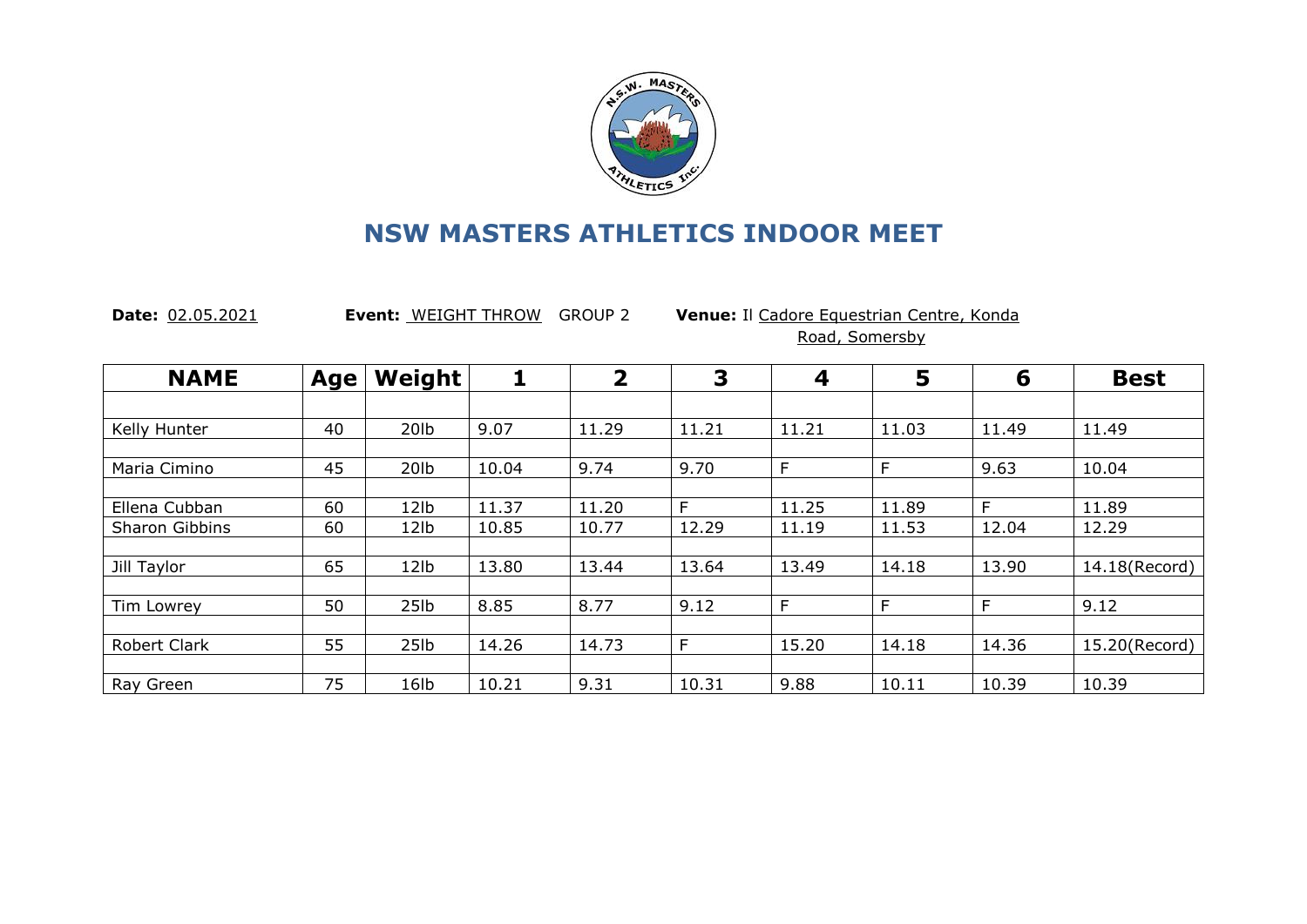

**Date:** 02.05.2021 **Event:** WEIGHT THROW GROUP 2 **Venue:** Il Cadore Equestrian Centre, Konda Road, Somersby

| <b>NAME</b>         | Age | Weight           |       | $\overline{\mathbf{2}}$ | 3     | 4     | 5     | 6     | <b>Best</b>   |
|---------------------|-----|------------------|-------|-------------------------|-------|-------|-------|-------|---------------|
|                     |     |                  |       |                         |       |       |       |       |               |
| Kelly Hunter        | 40  | 201 <sub>b</sub> | 9.07  | 11.29                   | 11.21 | 11.21 | 11.03 | 11.49 | 11.49         |
|                     |     |                  |       |                         |       |       |       |       |               |
| Maria Cimino        | 45  | 20lb             | 10.04 | 9.74                    | 9.70  | E     | F     | 9.63  | 10.04         |
|                     |     |                  |       |                         |       |       |       |       |               |
| Ellena Cubban       | 60  | 12 <sub>1b</sub> | 11.37 | 11.20                   | F     | 11.25 | 11.89 | F     | 11.89         |
| Sharon Gibbins      | 60  | 12lb             | 10.85 | 10.77                   | 12.29 | 11.19 | 11.53 | 12.04 | 12.29         |
|                     |     |                  |       |                         |       |       |       |       |               |
| Jill Taylor         | 65  | 12lb             | 13.80 | 13.44                   | 13.64 | 13.49 | 14.18 | 13.90 | 14.18(Record) |
|                     |     |                  |       |                         |       |       |       |       |               |
| Tim Lowrey          | 50  | 25 <sub>1b</sub> | 8.85  | 8.77                    | 9.12  | F     | F     | F     | 9.12          |
|                     |     |                  |       |                         |       |       |       |       |               |
| <b>Robert Clark</b> | 55  | 25 <sub>1b</sub> | 14.26 | 14.73                   | F     | 15.20 | 14.18 | 14.36 | 15.20(Record) |
|                     |     |                  |       |                         |       |       |       |       |               |
| Ray Green           | 75  | 16lb             | 10.21 | 9.31                    | 10.31 | 9.88  | 10.11 | 10.39 | 10.39         |